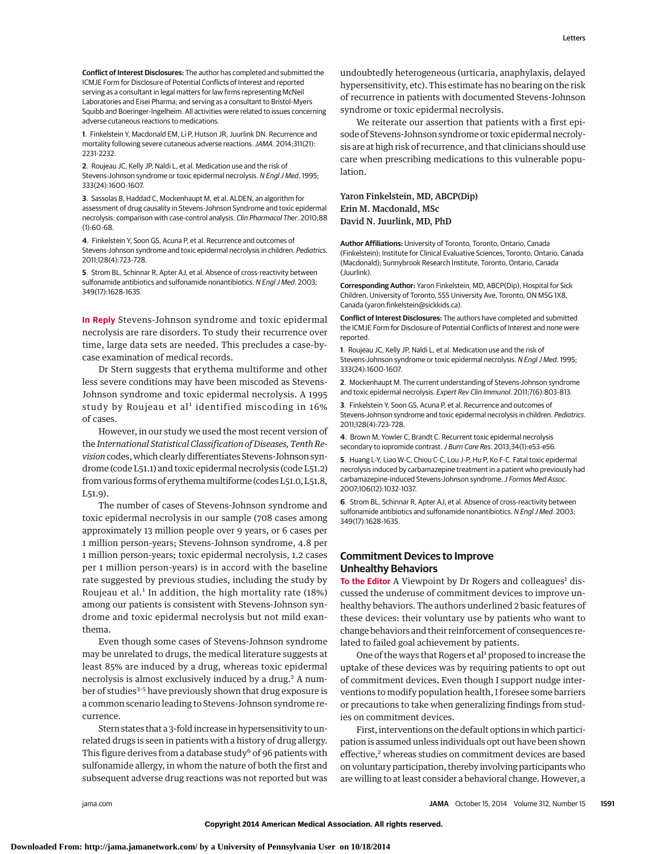**Conflict of Interest Disclosures:** The author has completed and submitted the ICMJE Form for Disclosure of Potential Conflicts of Interest and reported serving as a consultant in legal matters for law firms representing McNeil Laboratories and Eisei Pharma; and serving as a consultant to Bristol-Myers Squibb and Boeringer-Ingelheim. All activities were related to issues concerning adverse cutaneous reactions to medications.

**1**. Finkelstein Y, Macdonald EM, Li P, Hutson JR, Juurlink DN. Recurrence and mortality following severe cutaneous adverse reactions.JAMA[. 2014;311\(21\):](http://www.ncbi.nlm.nih.gov/pubmed/24893093) [2231-2232.](http://www.ncbi.nlm.nih.gov/pubmed/24893093)

**2**. Roujeau JC, Kelly JP, Naldi L, et al. Medication use and the risk of Stevens-Johnson syndrome or toxic epidermal necrolysis. [N Engl J Med](http://www.ncbi.nlm.nih.gov/pubmed/7477195). 1995; [333\(24\):1600-1607.](http://www.ncbi.nlm.nih.gov/pubmed/7477195)

**3**. Sassolas B, Haddad C, Mockenhaupt M, et al. ALDEN, an algorithm for assessment of drug causality in Stevens-Johnson Syndrome and toxic epidermal necrolysis: comparison with case-control analysis. [Clin Pharmacol Ther](http://www.ncbi.nlm.nih.gov/pubmed/20375998). 2010;88 [\(1\):60-68.](http://www.ncbi.nlm.nih.gov/pubmed/20375998)

**4**. Finkelstein Y, Soon GS, Acuna P, et al. Recurrence and outcomes of Stevens-Johnson syndrome and toxic epidermal necrolysis in children. [Pediatrics](http://www.ncbi.nlm.nih.gov/pubmed/21890829). [2011;128\(4\):723-728.](http://www.ncbi.nlm.nih.gov/pubmed/21890829)

**5**. Strom BL, Schinnar R, Apter AJ, et al. Absence of cross-reactivity between sulfonamide antibiotics and sulfonamide nonantibiotics. [N Engl J Med](http://www.ncbi.nlm.nih.gov/pubmed/14573734). 2003; [349\(17\):1628-1635.](http://www.ncbi.nlm.nih.gov/pubmed/14573734)

**In Reply** Stevens-Johnson syndrome and toxic epidermal necrolysis are rare disorders. To study their recurrence over time, large data sets are needed. This precludes a case-bycase examination of medical records.

Dr Stern suggests that erythema multiforme and other less severe conditions may have been miscoded as Stevens-Johnson syndrome and toxic epidermal necrolysis. A 1995 study by Roujeau et al<sup>1</sup> identified miscoding in 16% of cases.

However, in our study we used the most recent version of the *International Statistical Classification of Diseases, Tenth Revision*codes, which clearly differentiates Stevens-Johnson syndrome (code L51.1) and toxic epidermal necrolysis (code L51.2) from various forms of erythema multiforme (codes L51.0, L51.8, L51.9).

The number of cases of Stevens-Johnson syndrome and toxic epidermal necrolysis in our sample (708 cases among approximately 13 million people over 9 years, or 6 cases per 1 million person-years; Stevens-Johnson syndrome, 4.8 per 1 million person-years; toxic epidermal necrolysis, 1.2 cases per 1 million person-years) is in accord with the baseline rate suggested by previous studies, including the study by Roujeau et al.<sup>1</sup> In addition, the high mortality rate  $(18%)$ among our patients is consistent with Stevens-Johnson syndrome and toxic epidermal necrolysis but not mild exanthema.

Even though some cases of Stevens-Johnson syndrome may be unrelated to drugs, the medical literature suggests at least 85% are induced by a drug, whereas toxic epidermal necrolysis is almost exclusively induced by a drug.<sup>2</sup> A number of studies<sup>3-5</sup> have previously shown that drug exposure is a common scenario leading to Stevens-Johnson syndrome recurrence.

Stern states that a 3-fold increase in hypersensitivity to unrelated drugs is seen in patients with a history of drug allergy. This figure derives from a database study<sup>6</sup> of 96 patients with sulfonamide allergy, in whom the nature of both the first and subsequent adverse drug reactions was not reported but was undoubtedly heterogeneous (urticaria, anaphylaxis, delayed hypersensitivity, etc). This estimate has no bearing on the risk of recurrence in patients with documented Stevens-Johnson syndrome or toxic epidermal necrolysis.

We reiterate our assertion that patients with a first episode of Stevens-Johnson syndrome or toxic epidermal necrolysis are at high risk of recurrence, and that clinicians should use care when prescribing medications to this vulnerable population.

## Yaron Finkelstein, MD, ABCP(Dip) Erin M. Macdonald, MSc David N. Juurlink, MD, PhD

**Author Affiliations:** University of Toronto, Toronto, Ontario, Canada (Finkelstein); Institute for Clinical Evaluative Sciences, Toronto, Ontario, Canada (Macdonald); Sunnybrook Research Institute, Toronto, Ontario, Canada (Juurlink).

**Corresponding Author:** Yaron Finkelstein, MD, ABCP(Dip), Hospital for Sick Children, University of Toronto, 555 University Ave, Toronto, ON M5G 1X8, Canada [\(yaron.finkelstein@sickkids.ca\)](mailto:yaron.finkelstein@sickkids.ca).

**Conflict of Interest Disclosures:** The authors have completed and submitted the ICMJE Form for Disclosure of Potential Conflicts of Interest and none were reported.

**1**. Roujeau JC, Kelly JP, Naldi L, et al. Medication use and the risk of Stevens-Johnson syndrome or toxic epidermal necrolysis. [N Engl J Med](http://www.ncbi.nlm.nih.gov/pubmed/7477195). 1995; [333\(24\):1600-1607.](http://www.ncbi.nlm.nih.gov/pubmed/7477195)

**2**. Mockenhaupt M. The current understanding of Stevens-Johnson syndrome and toxic epidermal necrolysis. [Expert Rev Clin Immunol](http://www.ncbi.nlm.nih.gov/pubmed/22014021). 2011;7(6):803-813.

**3**. Finkelstein Y, Soon GS, Acuna P, et al. Recurrence and outcomes of Stevens-Johnson syndrome and toxic epidermal necrolysis in children. [Pediatrics](http://www.ncbi.nlm.nih.gov/pubmed/21890829). [2011;128\(4\):723-728.](http://www.ncbi.nlm.nih.gov/pubmed/21890829)

**4**. Brown M, Yowler C, Brandt C. Recurrent toxic epidermal necrolysis secondary to iopromide contrast. J Burn Care Res[. 2013;34\(1\):e53-e56.](http://www.ncbi.nlm.nih.gov/pubmed/22929525)

**5**. Huang L-Y, Liao W-C, Chiou C-C, Lou J-P, Hu P, Ko F-C. Fatal toxic epidermal necrolysis induced by carbamazepine treatment in a patient who previously had carbamazepine-induced Stevens-Johnson syndrome.[J Formos Med Assoc](http://www.ncbi.nlm.nih.gov/pubmed/18194909). [2007;106\(12\):1032-1037.](http://www.ncbi.nlm.nih.gov/pubmed/18194909)

**6**. Strom BL, Schinnar R, Apter AJ, et al. Absence of cross-reactivity between sulfonamide antibiotics and sulfonamide nonantibiotics. [N Engl J Med](http://www.ncbi.nlm.nih.gov/pubmed/14573734). 2003; [349\(17\):1628-1635.](http://www.ncbi.nlm.nih.gov/pubmed/14573734)

# **Commitment Devices to Improve Unhealthy Behaviors**

**To the Editor** A Viewpoint by Dr Rogers and colleagues<sup>1</sup> discussed the underuse of commitment devices to improve unhealthy behaviors. The authors underlined 2 basic features of these devices: their voluntary use by patients who want to change behaviors and their reinforcement of consequences related to failed goal achievement by patients.

One of the ways that Rogers et al<sup>1</sup> proposed to increase the uptake of these devices was by requiring patients to opt out of commitment devices. Even though I support nudge interventions to modify population health, I foresee some barriers or precautions to take when generalizing findings from studies on commitment devices.

First, interventions on the default options in which participation is assumed unless individuals opt out have been shown effective,<sup>2</sup> whereas studies on commitment devices are based on voluntary participation, thereby involving participants who are willing to at least consider a behavioral change. However, a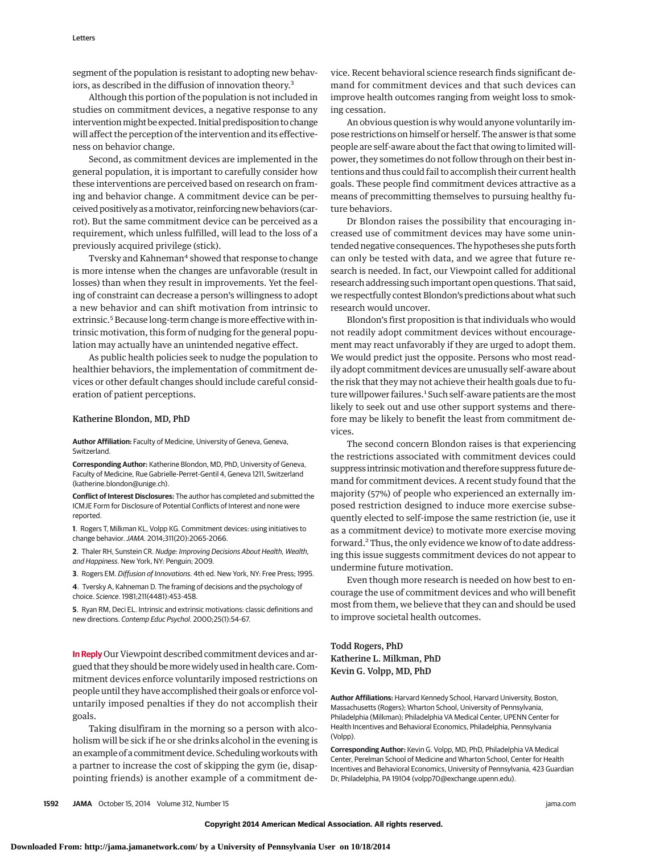segment of the population is resistant to adopting new behaviors, as described in the diffusion of innovation theory.3

Although this portion of the population is not included in studies on commitment devices, a negative response to any intervention might be expected. Initial predisposition to change will affect the perception of the intervention and its effectiveness on behavior change.

Second, as commitment devices are implemented in the general population, it is important to carefully consider how these interventions are perceived based on research on framing and behavior change. A commitment device can be perceived positively as amotivator, reinforcing new behaviors (carrot). But the same commitment device can be perceived as a requirement, which unless fulfilled, will lead to the loss of a previously acquired privilege (stick).

Tversky and Kahneman<sup>4</sup> showed that response to change is more intense when the changes are unfavorable (result in losses) than when they result in improvements. Yet the feeling of constraint can decrease a person's willingness to adopt a new behavior and can shift motivation from intrinsic to extrinsic.<sup>5</sup> Because long-term change is more effective with intrinsic motivation, this form of nudging for the general population may actually have an unintended negative effect.

As public health policies seek to nudge the population to healthier behaviors, the implementation of commitment devices or other default changes should include careful consideration of patient perceptions.

### Katherine Blondon, MD, PhD

**Author Affiliation:** Faculty of Medicine, University of Geneva, Geneva, Switzerland.

**Corresponding Author:** Katherine Blondon, MD, PhD, University of Geneva, Faculty of Medicine, Rue Gabrielle-Perret-Gentil 4, Geneva 1211, Switzerland [\(katherine.blondon@unige.ch\)](mailto:katherine.blondon@unige.ch).

**Conflict of Interest Disclosures:** The author has completed and submitted the ICMJE Form for Disclosure of Potential Conflicts of Interest and none were reported.

**1**. Rogers T, Milkman KL, Volpp KG. Commitment devices: using initiatives to change behavior.JAMA[. 2014;311\(20\):2065-2066.](http://www.ncbi.nlm.nih.gov/pubmed/24777472)

**2**. Thaler RH, Sunstein CR. Nudge: Improving Decisions About Health, Wealth, and Happiness. New York, NY: Penguin; 2009.

**3**. Rogers EM. Diffusion of Innovations. 4th ed. New York, NY: Free Press; 1995.

**4**. Tversky A, Kahneman D. The framing of decisions and the psychology of choice. Science[. 1981;211\(4481\):453-458.](http://www.ncbi.nlm.nih.gov/pubmed/7455683)

**5**. Ryan RM, Deci EL. Intrinsic and extrinsic motivations: classic definitions and new directions. [Contemp Educ Psychol](http://www.ncbi.nlm.nih.gov/pubmed/10620381). 2000;25(1):54-67.

**In Reply** Our Viewpoint described commitment devices and argued that they should bemorewidely used in health care. Commitment devices enforce voluntarily imposed restrictions on people until they have accomplished their goals or enforce voluntarily imposed penalties if they do not accomplish their goals.

Taking disulfiram in the morning so a person with alcoholism will be sick if he or she drinks alcohol in the evening is an example of a commitment device. Scheduling workouts with a partner to increase the cost of skipping the gym (ie, disappointing friends) is another example of a commitment device. Recent behavioral science research finds significant demand for commitment devices and that such devices can improve health outcomes ranging from weight loss to smoking cessation.

An obvious question is why would anyone voluntarily impose restrictions on himself or herself. The answer is that some people are self-aware about the fact that owing to limited willpower, they sometimes do not follow through on their best intentions and thus could fail to accomplish their current health goals. These people find commitment devices attractive as a means of precommitting themselves to pursuing healthy future behaviors.

Dr Blondon raises the possibility that encouraging increased use of commitment devices may have some unintended negative consequences. The hypotheses she puts forth can only be tested with data, and we agree that future research is needed. In fact, our Viewpoint called for additional research addressing such important open questions. That said, we respectfully contest Blondon's predictions about what such research would uncover.

Blondon's first proposition is that individuals who would not readily adopt commitment devices without encouragement may react unfavorably if they are urged to adopt them. We would predict just the opposite. Persons who most readily adopt commitment devices are unusually self-aware about the risk that they may not achieve their health goals due to future willpower failures.<sup>1</sup> Such self-aware patients are the most likely to seek out and use other support systems and therefore may be likely to benefit the least from commitment devices.

The second concern Blondon raises is that experiencing the restrictions associated with commitment devices could suppress intrinsic motivation and therefore suppress future demand for commitment devices. A recent study found that the majority (57%) of people who experienced an externally imposed restriction designed to induce more exercise subsequently elected to self-impose the same restriction (ie, use it as a commitment device) to motivate more exercise moving forward.2Thus, the only evidence we know of to date addressing this issue suggests commitment devices do not appear to undermine future motivation.

Even though more research is needed on how best to encourage the use of commitment devices and who will benefit most from them, we believe that they can and should be used to improve societal health outcomes.

Todd Rogers, PhD Katherine L. Milkman, PhD Kevin G. Volpp, MD, PhD

**Author Affiliations:** Harvard Kennedy School, Harvard University, Boston, Massachusetts (Rogers); Wharton School, University of Pennsylvania, Philadelphia (Milkman); Philadelphia VA Medical Center, UPENN Center for Health Incentives and Behavioral Economics, Philadelphia, Pennsylvania (Volpp).

**Corresponding Author:** Kevin G. Volpp, MD, PhD, Philadelphia VA Medical Center, Perelman School of Medicine and Wharton School, Center for Health Incentives and Behavioral Economics, University of Pennsylvania, 423 Guardian Dr, Philadelphia, PA 19104 [\(volpp70@exchange.upenn.edu\)](mailto:volpp70@exchange.upenn.edu).